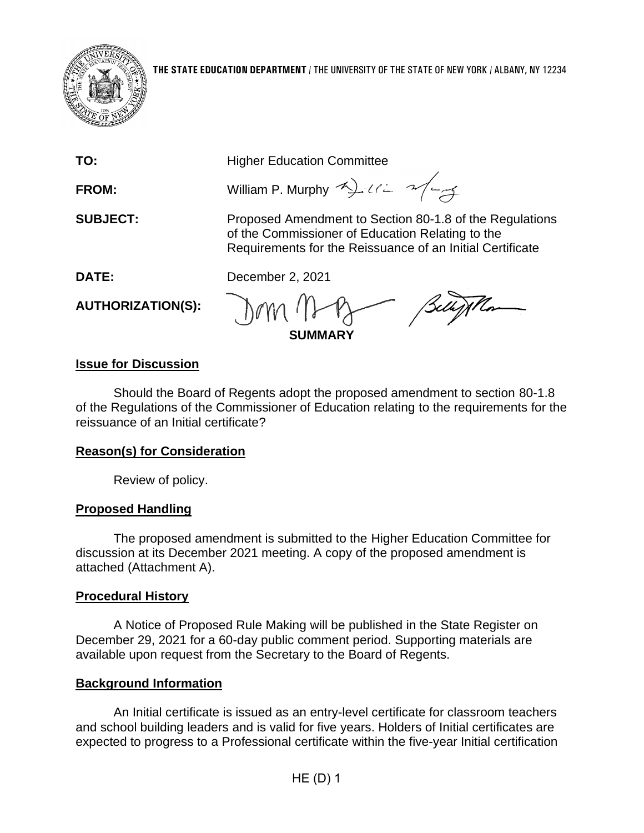

**TO:** Higher Education Committee

**FROM:** William P. Murphy  $42\pi$ 

**SUBJECT:** Proposed Amendment to Section 80-1.8 of the Regulations of the Commissioner of Education Relating to the Requirements for the Reissuance of an Initial Certificate

**DATE:** December 2, 2021

**AUTHORIZATION(S):**

**SUMMARY**

### **Issue for Discussion**

Should the Board of Regents adopt the proposed amendment to section 80-1.8 of the Regulations of the Commissioner of Education relating to the requirements for the reissuance of an Initial certificate?

### **Reason(s) for Consideration**

Review of policy.

# **Proposed Handling**

The proposed amendment is submitted to the Higher Education Committee for discussion at its December 2021 meeting. A copy of the proposed amendment is attached (Attachment A).

# **Procedural History**

A Notice of Proposed Rule Making will be published in the State Register on December 29, 2021 for a 60-day public comment period. Supporting materials are available upon request from the Secretary to the Board of Regents.

# **Background Information**

An Initial certificate is issued as an entry-level certificate for classroom teachers and school building leaders and is valid for five years. Holders of Initial certificates are expected to progress to a Professional certificate within the five-year Initial certification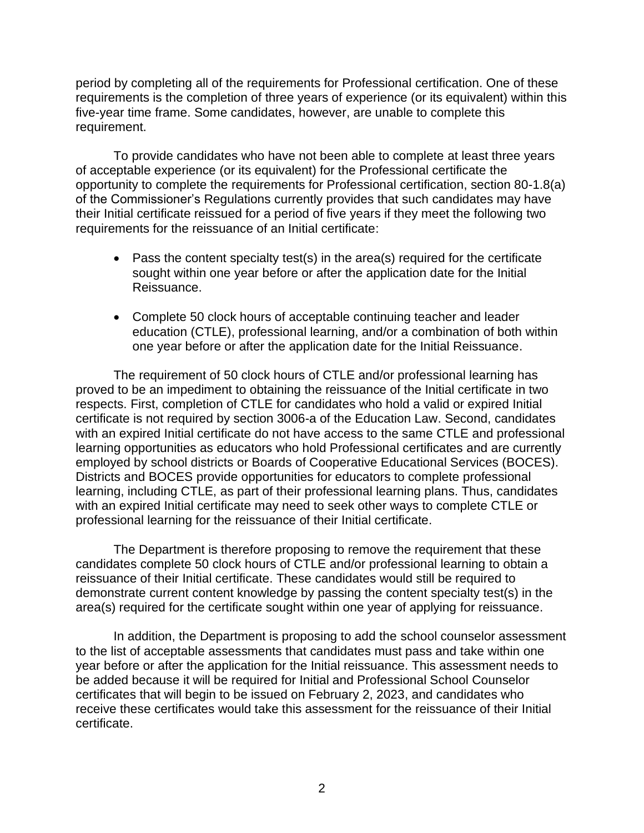period by completing all of the requirements for Professional certification. One of these requirements is the completion of three years of experience (or its equivalent) within this five-year time frame. Some candidates, however, are unable to complete this requirement.

To provide candidates who have not been able to complete at least three years of acceptable experience (or its equivalent) for the Professional certificate the opportunity to complete the requirements for Professional certification, section 80-1.8(a) of the Commissioner's Regulations currently provides that such candidates may have their Initial certificate reissued for a period of five years if they meet the following two requirements for the reissuance of an Initial certificate:

- Pass the content specialty test(s) in the area(s) required for the certificate sought within one year before or after the application date for the Initial Reissuance.
- Complete 50 clock hours of acceptable continuing teacher and leader education (CTLE), professional learning, and/or a combination of both within one year before or after the application date for the Initial Reissuance.

The requirement of 50 clock hours of CTLE and/or professional learning has proved to be an impediment to obtaining the reissuance of the Initial certificate in two respects. First, completion of CTLE for candidates who hold a valid or expired Initial certificate is not required by section 3006-a of the Education Law. Second, candidates with an expired Initial certificate do not have access to the same CTLE and professional learning opportunities as educators who hold Professional certificates and are currently employed by school districts or Boards of Cooperative Educational Services (BOCES). Districts and BOCES provide opportunities for educators to complete professional learning, including CTLE, as part of their professional learning plans. Thus, candidates with an expired Initial certificate may need to seek other ways to complete CTLE or professional learning for the reissuance of their Initial certificate.

The Department is therefore proposing to remove the requirement that these candidates complete 50 clock hours of CTLE and/or professional learning to obtain a reissuance of their Initial certificate. These candidates would still be required to demonstrate current content knowledge by passing the content specialty test(s) in the area(s) required for the certificate sought within one year of applying for reissuance.

In addition, the Department is proposing to add the school counselor assessment to the list of acceptable assessments that candidates must pass and take within one year before or after the application for the Initial reissuance. This assessment needs to be added because it will be required for Initial and Professional School Counselor certificates that will begin to be issued on February 2, 2023, and candidates who receive these certificates would take this assessment for the reissuance of their Initial certificate.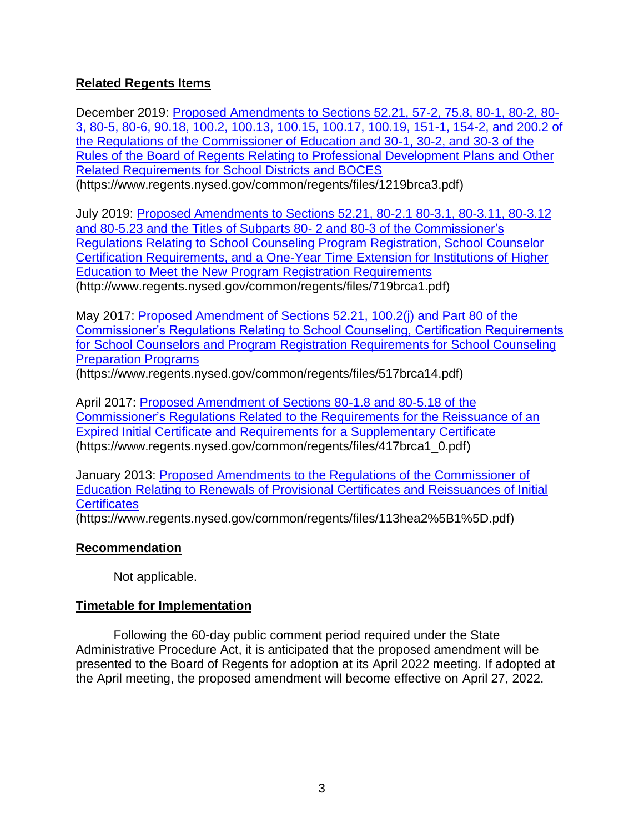#### **Related Regents Items**

December 2019: [Proposed Amendments to Sections 52.21, 57-2, 75.8, 80-1, 80-2, 80-](https://www.regents.nysed.gov/common/regents/files/1219brca3.pdf) [3, 80-5, 80-6, 90.18, 100.2, 100.13, 100.15, 100.17, 100.19, 151-1, 154-2, and 200.2 of](https://www.regents.nysed.gov/common/regents/files/1219brca3.pdf)  [the Regulations of the Commissioner of Education and 30-1, 30-2, and 30-3 of the](https://www.regents.nysed.gov/common/regents/files/1219brca3.pdf)  [Rules of the Board of Regents Relating to Professional Development Plans and Other](https://www.regents.nysed.gov/common/regents/files/1219brca3.pdf)  [Related Requirements for School Districts and BOCES](https://www.regents.nysed.gov/common/regents/files/1219brca3.pdf) (https://www.regents.nysed.gov/common/regents/files/1219brca3.pdf)

July 2019: [Proposed Amendments to Sections 52.21, 80-2.1 80-3.1, 80-3.11, 80-3.12](http://www.regents.nysed.gov/common/regents/files/719brca1.pdf)  [and 80-5.23 and the Titles of Subparts 80-](http://www.regents.nysed.gov/common/regents/files/719brca1.pdf) 2 and 80-3 of the Commissioner's [Regulations Relating to School Counseling Program Registration, School Counselor](http://www.regents.nysed.gov/common/regents/files/719brca1.pdf)  [Certification Requirements, and a One-Year Time Extension for Institutions of Higher](http://www.regents.nysed.gov/common/regents/files/719brca1.pdf)  [Education to Meet the New Program Registration Requirements](http://www.regents.nysed.gov/common/regents/files/719brca1.pdf) (http://www.regents.nysed.gov/common/regents/files/719brca1.pdf)

May 2017: [Proposed Amendment of Sections 52.21, 100.2\(j\) and Part 80 of the](https://www.regents.nysed.gov/common/regents/files/517brca14.pdf)  [Commissioner's Regulations Relating to School Counseling, Certification Requirements](https://www.regents.nysed.gov/common/regents/files/517brca14.pdf)  [for School Counselors and Program Registration Requirements for School Counseling](https://www.regents.nysed.gov/common/regents/files/517brca14.pdf)  [Preparation Programs](https://www.regents.nysed.gov/common/regents/files/517brca14.pdf)

(https://www.regents.nysed.gov/common/regents/files/517brca14.pdf)

April 2017: [Proposed Amendment of Sections 80-1.8 and 80-5.18 of the](https://www.regents.nysed.gov/common/regents/files/417brca1_0.pdf)  [Commissioner's Regulations Related to the Requirements for the Reissuance of an](https://www.regents.nysed.gov/common/regents/files/417brca1_0.pdf)  [Expired Initial Certificate and Requirements for a Supplementary Certificate](https://www.regents.nysed.gov/common/regents/files/417brca1_0.pdf) (https://www.regents.nysed.gov/common/regents/files/417brca1\_0.pdf)

January 2013: [Proposed Amendments to the Regulations of the Commissioner of](https://www.regents.nysed.gov/common/regents/files/113hea2%5B1%5D.pdf)  [Education Relating to Renewals of Provisional Certificates and Reissuances of Initial](https://www.regents.nysed.gov/common/regents/files/113hea2%5B1%5D.pdf)  **[Certificates](https://www.regents.nysed.gov/common/regents/files/113hea2%5B1%5D.pdf)** 

(https://www.regents.nysed.gov/common/regents/files/113hea2%5B1%5D.pdf)

#### **Recommendation**

Not applicable.

#### **Timetable for Implementation**

Following the 60-day public comment period required under the State Administrative Procedure Act, it is anticipated that the proposed amendment will be presented to the Board of Regents for adoption at its April 2022 meeting. If adopted at the April meeting, the proposed amendment will become effective on April 27, 2022.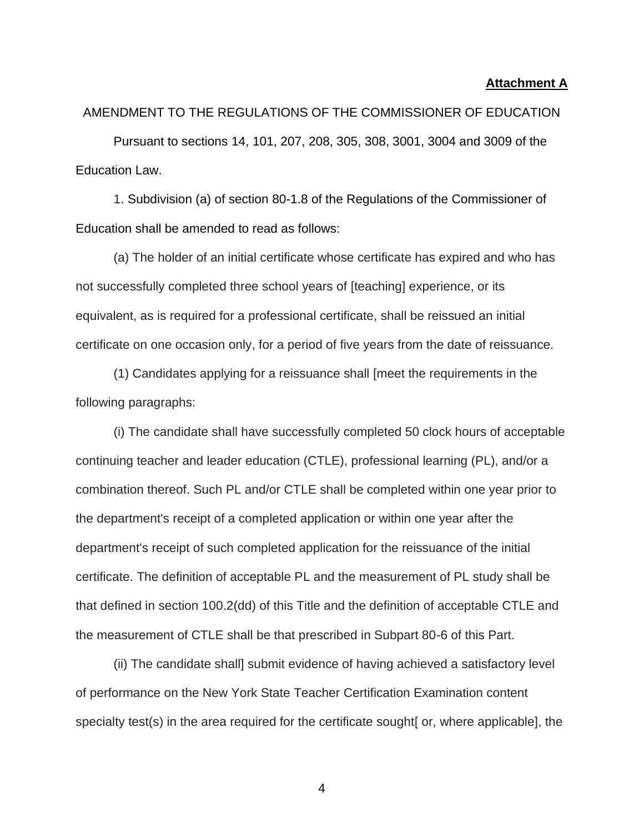#### **Attachment A**

# AMENDMENT TO THE REGULATIONS OF THE COMMISSIONER OF EDUCATION

Pursuant to sections 14, 101, 207, 208, 305, 308, 3001, 3004 and 3009 of the Education Law.

1. Subdivision (a) of section 80-1.8 of the Regulations of the Commissioner of Education shall be amended to read as follows:

(a) The holder of an initial certificate whose certificate has expired and who has not successfully completed three school years of [teaching] experience, or its equivalent, as is required for a professional certificate, shall be reissued an initial certificate on one occasion only, for a period of five years from the date of reissuance.

(1) Candidates applying for a reissuance shall [meet the requirements in the following paragraphs:

(i) The candidate shall have successfully completed 50 clock hours of acceptable continuing teacher and leader education (CTLE), professional learning (PL), and/or a combination thereof. Such PL and/or CTLE shall be completed within one year prior to the department's receipt of a completed application or within one year after the department's receipt of such completed application for the reissuance of the initial certificate. The definition of acceptable PL and the measurement of PL study shall be that defined in section 100.2(dd) of this Title and the definition of acceptable CTLE and the measurement of CTLE shall be that prescribed in Subpart 80-6 of this Part.

(ii) The candidate shall] submit evidence of having achieved a satisfactory level of performance on the New York State Teacher Certification Examination content specialty test(s) in the area required for the certificate sought [or, where applicable], the

4